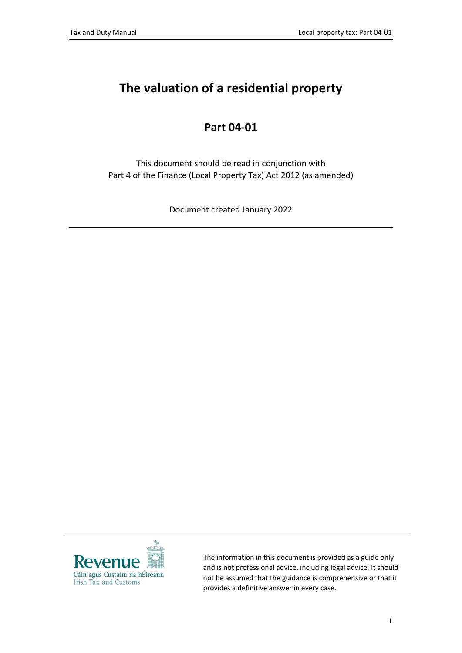# **The valuation of a residential property**

## **Part 04-01**

This document should be read in conjunction with Part 4 of the Finance (Local Property Tax) Act 2012 (as amended)

Document created January 2022



The information in this document is provided as a guide only and is not professional advice, including legal advice. It should not be assumed that the guidance is comprehensive or that it provides a definitive answer in every case.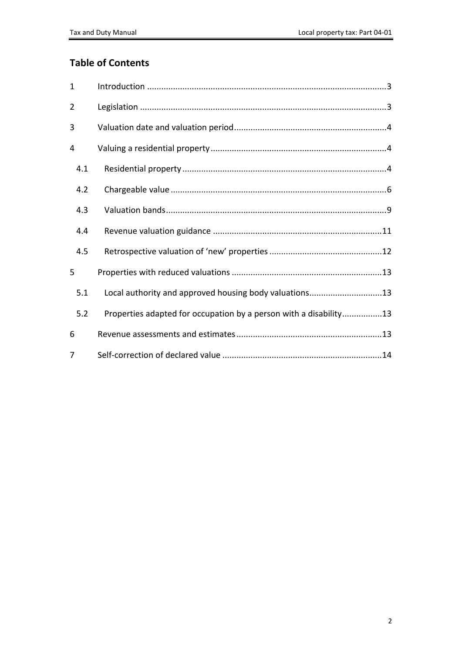### **Table of Contents**

| $\mathbf{1}$   |                                                                   |
|----------------|-------------------------------------------------------------------|
| $\overline{2}$ |                                                                   |
| 3              |                                                                   |
| 4              |                                                                   |
| 4.1            |                                                                   |
| 4.2            |                                                                   |
| 4.3            |                                                                   |
| 4.4            |                                                                   |
| 4.5            |                                                                   |
| 5              |                                                                   |
| 5.1            | Local authority and approved housing body valuations13            |
| 5.2            | Properties adapted for occupation by a person with a disability13 |
| 6              |                                                                   |
| 7              |                                                                   |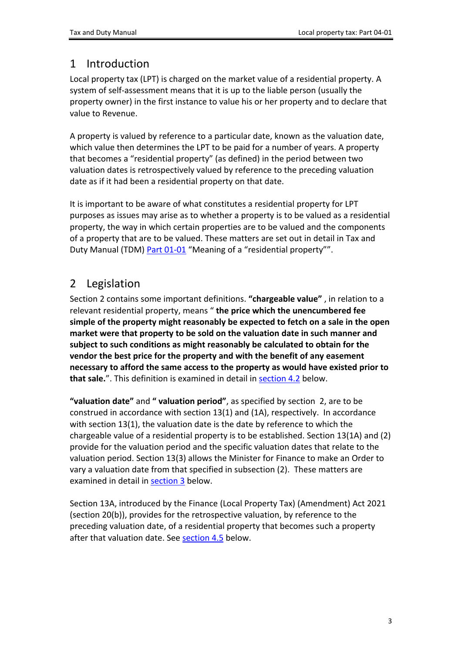## <span id="page-2-0"></span>1 Introduction

Local property tax (LPT) is charged on the market value of a residential property. A system of self-assessment means that it is up to the liable person (usually the property owner) in the first instance to value his or her property and to declare that value to Revenue.

A property is valued by reference to a particular date, known as the valuation date, which value then determines the LPT to be paid for a number of years. A property that becomes a "residential property" (as defined) in the period between two valuation dates is retrospectively valued by reference to the preceding valuation date as if it had been a residential property on that date.

It is important to be aware of what constitutes a residential property for LPT purposes as issues may arise as to whether a property is to be valued as a residential property, the way in which certain properties are to be valued and the components of a property that are to be valued. These matters are set out in detail in Tax and Duty Manual (TDM) [Part](https://www.revenue.ie/en/tax-professionals/tdm/local-property-tax/part-01/01-01.pdf) [01-01](https://www.revenue.ie/en/tax-professionals/tdm/local-property-tax/part-01/01-01.pdf) "Meaning of a "residential property"".

## <span id="page-2-1"></span>2 Legislation

Section 2 contains some important definitions. **"chargeable value"** , in relation to a relevant residential property, means " **the price which the unencumbered fee simple of the property might reasonably be expected to fetch on a sale in the open market were that property to be sold on the valuation date in such manner and subject to such conditions as might reasonably be calculated to obtain for the vendor the best price for the property and with the benefit of any easement necessary to afford the same access to the property as would have existed prior to that sale.**". This definition is examined in detail in [section](#page-5-0) [4.2](#page-5-0) below.

**"valuation date"** and **" valuation period"**, as specified by section 2, are to be construed in accordance with [section](https://revisedacts.lawreform.ie/eli/2012/act/52/section/2/revised/en/html) [13\(1\)](https://revisedacts.lawreform.ie/eli/2012/act/52/section/2/revised/en/html) [and](https://revisedacts.lawreform.ie/eli/2012/act/52/section/2/revised/en/html) [\(1A\),](https://revisedacts.lawreform.ie/eli/2012/act/52/section/2/revised/en/html) [respectively.](https://revisedacts.lawreform.ie/eli/2012/act/52/section/2/revised/en/html) [I](https://revisedacts.lawreform.ie/eli/2012/act/52/section/2/revised/en/html)n accordance with section 13(1), the valuation date is the date by reference to which the chargeable value of a residential property is to be established. Section 13(1A) and (2) provide for the valuation period and the specific valuation dates that relate to the valuation period. Section 13(3) allows the Minister for Finance to make an Order to vary a valuation date from that specified in subsection (2). These matters are examined in detail in [section](#page-3-0) [3](#page-3-0) below.

Section 13A, introduced by the Finance (Local Property Tax) (Amendment) Act 2021 (section 20(b)), provides for the retrospective valuation, by reference to the preceding valuation date, of a residential property that becomes such a property after that valuation date. See [section](#page-11-0) [4.5](#page-11-0) below.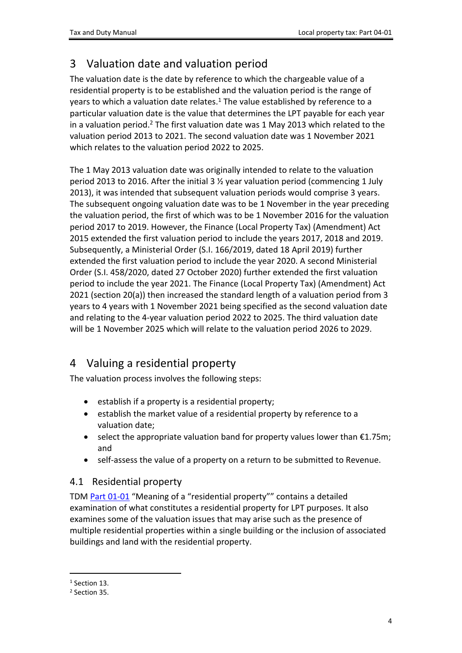# <span id="page-3-0"></span>3 Valuation date and valuation period

The valuation date is the date by reference to which the chargeable value of a residential property is to be established and the valuation period is the range of years to which a valuation date relates.<sup>1</sup> The value established by reference to a particular valuation date is the value that determines the LPT payable for each year in a valuation period.<sup>2</sup> The first valuation date was 1 May 2013 which related to the valuation period 2013 to 2021. The second valuation date was 1 November 2021 which relates to the valuation period 2022 to 2025.

The 1 May 2013 valuation date was originally intended to relate to the valuation period 2013 to 2016. After the initial 3 ½ year valuation period (commencing 1 July 2013), it was intended that subsequent valuation periods would comprise 3 years. The subsequent ongoing valuation date was to be 1 November in the year preceding the valuation period, the first of which was to be 1 November 2016 for the valuation period 2017 to 2019. However, the Finance (Local Property Tax) (Amendment) Act 2015 extended the first valuation period to include the years 2017, 2018 and 2019. Subsequently, a Ministerial Order (S.I. 166/2019, dated 18 April 2019) further extended the first valuation period to include the year 2020. A second Ministerial Order (S.I. 458/2020, dated 27 October 2020) further extended the first valuation period to include the year 2021. The Finance (Local Property Tax) (Amendment) Act 2021 (section 20(a)) then increased the standard length of a valuation period from 3 years to 4 years with 1 November 2021 being specified as the second valuation date and relating to the 4-year valuation period 2022 to 2025. The third valuation date will be 1 November 2025 which will relate to the valuation period 2026 to 2029.

## <span id="page-3-1"></span>4 Valuing a residential property

The valuation process involves the following steps:

- $\bullet$  establish if a property is a residential property;
- establish the market value of a residential property by reference to a valuation date;
- $\bullet$  select the appropriate valuation band for property values lower than  $\epsilon$ 1.75m; and
- self-assess the value of a property on a return to be submitted to Revenue.

### <span id="page-3-2"></span>4.1 Residential property

TDM [Part](https://www.revenue.ie/en/tax-professionals/tdm/local-property-tax/part-01/01-01.pdf) [01-01](https://www.revenue.ie/en/tax-professionals/tdm/local-property-tax/part-01/01-01.pdf) "Meaning of a "residential property"" contains a detailed examination of what constitutes a residential property for LPT purposes. It also examines some of the valuation issues that may arise such as the presence of multiple residential properties within a single building or the inclusion of associated buildings and land with the residential property.

<sup>&</sup>lt;sup>1</sup> Section 13.

<sup>2</sup> Section 35.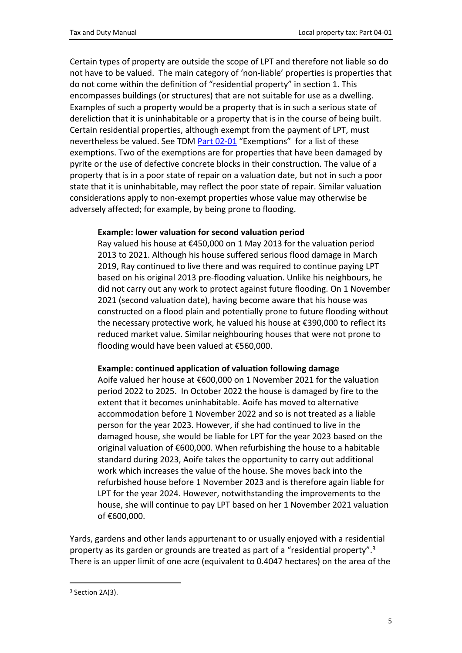Certain types of property are outside the scope of LPT and therefore not liable so do not have to be valued. The main category of 'non-liable' properties is properties that do not come within the definition of "residential property" in section 1. This encompasses buildings (or structures) that are not suitable for use as a dwelling. Examples of such a property would be a property that is in such a serious state of dereliction that it is uninhabitable or a property that is in the course of being built. Certain residential properties, although exempt from the payment of LPT, must nevertheless be valued. See TDM [Part](https://www.revenue.ie/en/tax-professionals/tdm/local-property-tax/part-02/02-01.pdf) [02-01](https://www.revenue.ie/en/tax-professionals/tdm/local-property-tax/part-02/02-01.pdf) "Exemptions" for a list of these exemptions. Two of the exemptions are for properties that have been damaged by pyrite or the use of defective concrete blocks in their construction. The value of a property that is in a poor state of repair on a valuation date, but not in such a poor state that it is uninhabitable, may reflect the poor state of repair. Similar valuation considerations apply to non-exempt properties whose value may otherwise be adversely affected; for example, by being prone to flooding.

#### **Example: lower valuation for second valuation period**

Ray valued his house at €450,000 on 1 May 2013 for the valuation period 2013 to 2021. Although his house suffered serious flood damage in March 2019, Ray continued to live there and was required to continue paying LPT based on his original 2013 pre-flooding valuation. Unlike his neighbours, he did not carry out any work to protect against future flooding. On 1 November 2021 (second valuation date), having become aware that his house was constructed on a flood plain and potentially prone to future flooding without the necessary protective work, he valued his house at €390,000 to reflect its reduced market value. Similar neighbouring houses that were not prone to flooding would have been valued at €560,000.

#### **Example: continued application of valuation following damage**

Aoife valued her house at €600,000 on 1 November 2021 for the valuation period 2022 to 2025. In October 2022 the house is damaged by fire to the extent that it becomes uninhabitable. Aoife has moved to alternative accommodation before 1 November 2022 and so is not treated as a liable person for the year 2023. However, if she had continued to live in the damaged house, she would be liable for LPT for the year 2023 based on the original valuation of €600,000. When refurbishing the house to a habitable standard during 2023, Aoife takes the opportunity to carry out additional work which increases the value of the house. She moves back into the refurbished house before 1 November 2023 and is therefore again liable for LPT for the year 2024. However, notwithstanding the improvements to the house, she will continue to pay LPT based on her 1 November 2021 valuation of €600,000.

Yards, gardens and other lands appurtenant to or usually enjoyed with a residential property as its garden or grounds are treated as part of a "residential property".<sup>3</sup> There is an upper limit of one acre (equivalent to 0.4047 hectares) on the area of the

<sup>&</sup>lt;sup>3</sup> Section 2A(3).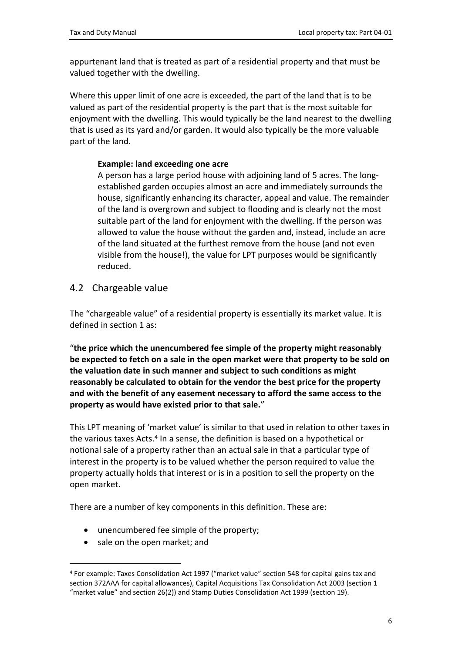appurtenant land that is treated as part of a residential property and that must be valued together with the dwelling.

Where this upper limit of one acre is exceeded, the part of the land that is to be valued as part of the residential property is the part that is the most suitable for enjoyment with the dwelling. This would typically be the land nearest to the dwelling that is used as its yard and/or garden. It would also typically be the more valuable part of the land.

### **Example: land exceeding one acre**

A person has a large period house with adjoining land of 5 acres. The longestablished garden occupies almost an acre and immediately surrounds the house, significantly enhancing its character, appeal and value. The remainder of the land is overgrown and subject to flooding and is clearly not the most suitable part of the land for enjoyment with the dwelling. If the person was allowed to value the house without the garden and, instead, include an acre of the land situated at the furthest remove from the house (and not even visible from the house!), the value for LPT purposes would be significantly reduced.

### <span id="page-5-0"></span>4.2 Chargeable value

The "chargeable value" of a residential property is essentially its market value. It is defined in section 1 as:

"**the price which the unencumbered fee simple of the property might reasonably be expected to fetch on a sale in the open market were that property to be sold on the valuation date in such manner and subject to such conditions as might reasonably be calculated to obtain for the vendor the best price for the property and with the benefit of any easement necessary to afford the same access to the property as would have existed prior to that sale.**"

This LPT meaning of 'market value' is similar to that used in relation to other taxes in the various taxes Acts.<sup>4</sup> In a sense, the definition is based on a hypothetical or notional sale of a property rather than an actual sale in that a particular type of interest in the property is to be valued whether the person required to value the property actually holds that interest or is in a position to sell the property on the open market.

There are a number of key components in this definition. These are:

- unencumbered fee simple of the property;
- sale on the open market: and

<sup>4</sup> For example: Taxes Consolidation Act 1997 ("market value" section 548 for capital gains tax and section 372AAA for capital allowances), Capital Acquisitions Tax Consolidation Act 2003 (section 1 "market value" and section 26(2)) and Stamp Duties Consolidation Act 1999 (section 19).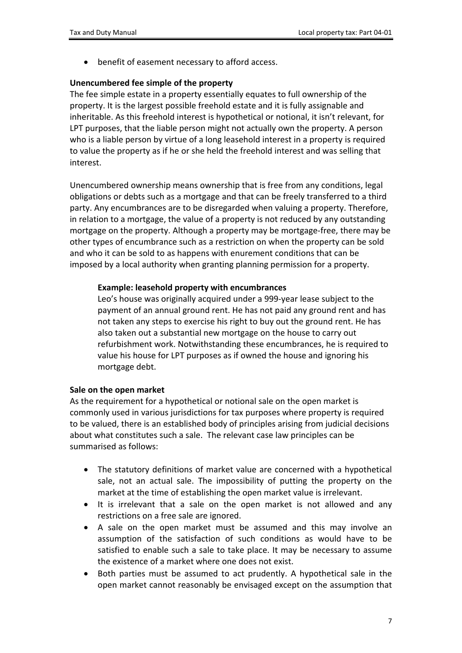benefit of easement necessary to afford access.

#### **Unencumbered fee simple of the property**

The fee simple estate in a property essentially equates to full ownership of the property. It is the largest possible freehold estate and it is fully assignable and inheritable. As this freehold interest is hypothetical or notional, it isn't relevant, for LPT purposes, that the liable person might not actually own the property. A person who is a liable person by virtue of a long leasehold interest in a property is required to value the property as if he or she held the freehold interest and was selling that interest.

Unencumbered ownership means ownership that is free from any conditions, legal obligations or debts such as a mortgage and that can be freely transferred to a third party. Any encumbrances are to be disregarded when valuing a property. Therefore, in relation to a mortgage, the value of a property is not reduced by any outstanding mortgage on the property. Although a property may be mortgage-free, there may be other types of encumbrance such as a restriction on when the property can be sold and who it can be sold to as happens with enurement conditions that can be imposed by a local authority when granting planning permission for a property.

#### **Example: leasehold property with encumbrances**

Leo's house was originally acquired under a 999-year lease subject to the payment of an annual ground rent. He has not paid any ground rent and has not taken any steps to exercise his right to buy out the ground rent. He has also taken out a substantial new mortgage on the house to carry out refurbishment work. Notwithstanding these encumbrances, he is required to value his house for LPT purposes as if owned the house and ignoring his mortgage debt.

#### **Sale on the open market**

As the requirement for a hypothetical or notional sale on the open market is commonly used in various jurisdictions for tax purposes where property is required to be valued, there is an established body of principles arising from judicial decisions about what constitutes such a sale. The relevant case law principles can be summarised as follows:

- The statutory definitions of market value are concerned with a hypothetical sale, not an actual sale. The impossibility of putting the property on the market at the time of establishing the open market value is irrelevant.
- It is irrelevant that a sale on the open market is not allowed and any restrictions on a free sale are ignored.
- A sale on the open market must be assumed and this may involve an assumption of the satisfaction of such conditions as would have to be satisfied to enable such a sale to take place. It may be necessary to assume the existence of a market where one does not exist.
- Both parties must be assumed to act prudently. A hypothetical sale in the open market cannot reasonably be envisaged except on the assumption that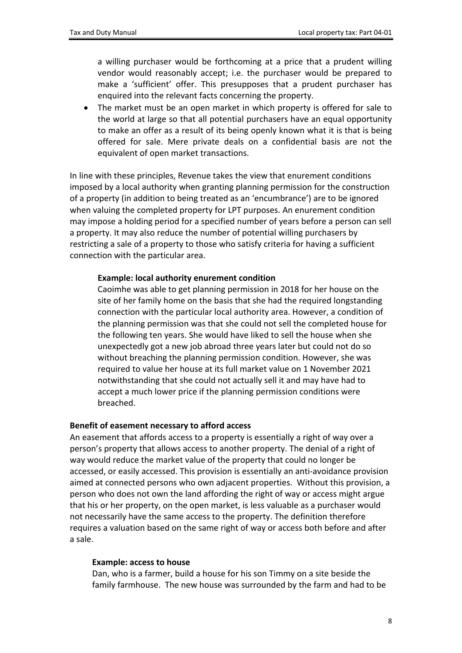a willing purchaser would be forthcoming at a price that a prudent willing vendor would reasonably accept; i.e. the purchaser would be prepared to make a 'sufficient' offer. This presupposes that a prudent purchaser has enquired into the relevant facts concerning the property.

 The market must be an open market in which property is offered for sale to the world at large so that all potential purchasers have an equal opportunity to make an offer as a result of its being openly known what it is that is being offered for sale. Mere private deals on a confidential basis are not the equivalent of open market transactions.

In line with these principles, Revenue takes the view that enurement conditions imposed by a local authority when granting planning permission for the construction of a property (in addition to being treated as an 'encumbrance') are to be ignored when valuing the completed property for LPT purposes. An enurement condition may impose a holding period for a specified number of years before a person can sell a property. It may also reduce the number of potential willing purchasers by restricting a sale of a property to those who satisfy criteria for having a sufficient connection with the particular area.

#### **Example: local authority enurement condition**

Caoimhe was able to get planning permission in 2018 for her house on the site of her family home on the basis that she had the required longstanding connection with the particular local authority area. However, a condition of the planning permission was that she could not sell the completed house for the following ten years. She would have liked to sell the house when she unexpectedly got a new job abroad three years later but could not do so without breaching the planning permission condition. However, she was required to value her house at its full market value on 1 November 2021 notwithstanding that she could not actually sell it and may have had to accept a much lower price if the planning permission conditions were breached.

#### **Benefit of easement necessary to afford access**

An easement that affords access to a property is essentially a right of way over a person's property that allows access to another property. The denial of a right of way would reduce the market value of the property that could no longer be accessed, or easily accessed. This provision is essentially an anti-avoidance provision aimed at connected persons who own adjacent properties. Without this provision, a person who does not own the land affording the right of way or access might argue that his or her property, on the open market, is less valuable as a purchaser would not necessarily have the same access to the property. The definition therefore requires a valuation based on the same right of way or access both before and after a sale.

#### **Example: access to house**

Dan, who is a farmer, build a house for his son Timmy on a site beside the family farmhouse. The new house was surrounded by the farm and had to be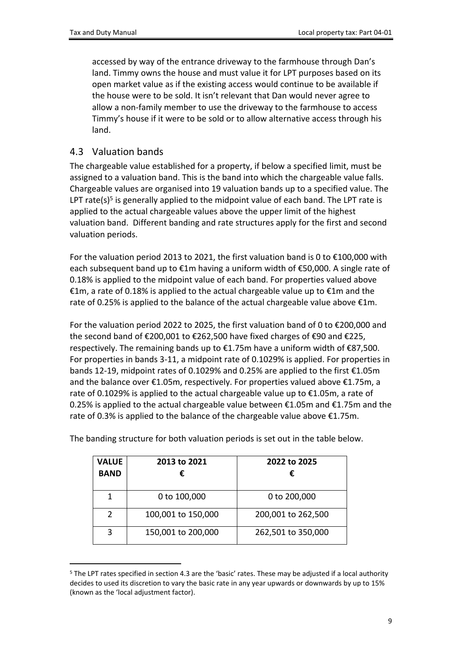accessed by way of the entrance driveway to the farmhouse through Dan's land. Timmy owns the house and must value it for LPT purposes based on its open market value as if the existing access would continue to be available if the house were to be sold. It isn't relevant that Dan would never agree to allow a non-family member to use the driveway to the farmhouse to access Timmy's house if it were to be sold or to allow alternative access through his land.

### <span id="page-8-0"></span>4.3 Valuation bands

The chargeable value established for a property, if below a specified limit, must be assigned to a valuation band. This is the band into which the chargeable value falls. Chargeable values are organised into 19 valuation bands up to a specified value. The LPT rate(s)<sup>5</sup> is generally applied to the midpoint value of each band. The LPT rate is applied to the actual chargeable values above the upper limit of the highest valuation band. Different banding and rate structures apply for the first and second valuation periods.

For the valuation period 2013 to 2021, the first valuation band is 0 to  $\epsilon$ 100,000 with each subsequent band up to €1m having a uniform width of €50,000. A single rate of 0.18% is applied to the midpoint value of each band. For properties valued above €1m, a rate of 0.18% is applied to the actual chargeable value up to €1m and the rate of 0.25% is applied to the balance of the actual chargeable value above  $\epsilon$ 1m.

For the valuation period 2022 to 2025, the first valuation band of 0 to €200,000 and the second band of €200,001 to €262,500 have fixed charges of €90 and €225, respectively. The remaining bands up to €1.75m have a uniform width of €87,500. For properties in bands 3-11, a midpoint rate of 0.1029% is applied. For properties in bands 12-19, midpoint rates of 0.1029% and 0.25% are applied to the first €1.05m and the balance over €1.05m, respectively. For properties valued above €1.75m, a rate of 0.1029% is applied to the actual chargeable value up to €1.05m, a rate of 0.25% is applied to the actual chargeable value between  $\epsilon$ 1.05m and  $\epsilon$ 1.75m and the rate of 0.3% is applied to the balance of the chargeable value above €1.75m.

| <b>VALUE</b><br><b>BAND</b> | 2013 to 2021<br>€  | 2022 to 2025<br>€  |
|-----------------------------|--------------------|--------------------|
|                             | 0 to 100,000       | 0 to 200,000       |
| $\mathcal{P}$               | 100,001 to 150,000 | 200,001 to 262,500 |
| ζ                           | 150,001 to 200,000 | 262,501 to 350,000 |

The banding structure for both valuation periods is set out in the table below.

<sup>5</sup> The LPT rates specified in section 4.3 are the 'basic' rates. These may be adjusted if a local authority decides to used its discretion to vary the basic rate in any year upwards or downwards by up to 15% (known as the 'local adjustment factor).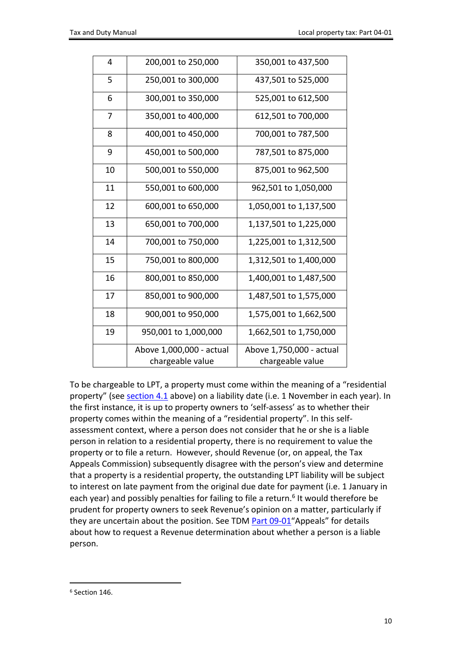| $\overline{4}$ | 200,001 to 250,000       | 350,001 to 437,500       |
|----------------|--------------------------|--------------------------|
| 5              | 250,001 to 300,000       | 437,501 to 525,000       |
| 6              | 300,001 to 350,000       | 525,001 to 612,500       |
| 7              | 350,001 to 400,000       | 612,501 to 700,000       |
| 8              | 400,001 to 450,000       | 700,001 to 787,500       |
| 9              | 450,001 to 500,000       | 787,501 to 875,000       |
| 10             | 500,001 to 550,000       | 875,001 to 962,500       |
| 11             | 550,001 to 600,000       | 962,501 to 1,050,000     |
| 12             | 600,001 to 650,000       | 1,050,001 to 1,137,500   |
| 13             | 650,001 to 700,000       | 1,137,501 to 1,225,000   |
| 14             | 700,001 to 750,000       | 1,225,001 to 1,312,500   |
| 15             | 750,001 to 800,000       | 1,312,501 to 1,400,000   |
| 16             | 800,001 to 850,000       | 1,400,001 to 1,487,500   |
| 17             | 850,001 to 900,000       | 1,487,501 to 1,575,000   |
| 18             | 900,001 to 950,000       | 1,575,001 to 1,662,500   |
| 19             | 950,001 to 1,000,000     | 1,662,501 to 1,750,000   |
|                | Above 1,000,000 - actual | Above 1,750,000 - actual |
|                | chargeable value         | chargeable value         |
|                |                          |                          |

To be chargeable to LPT, a property must come within the meaning of a "residential property" (see [section](#page-3-2) [4.1](#page-3-2) above) on a liability date (i.e. 1 November in each year). In the first instance, it is up to property owners to 'self-assess' as to whether their property comes within the meaning of a "residential property". In this selfassessment context, where a person does not consider that he or she is a liable person in relation to a residential property, there is no requirement to value the property or to file a return. However, should Revenue (or, on appeal, the Tax Appeals Commission) subsequently disagree with the person's view and determine that a property is a residential property, the outstanding LPT liability will be subject to interest on late payment from the original due date for payment (i.e. 1 January in each year) and possibly penalties for failing to file a return.<sup>6</sup> It would therefore be prudent for property owners to seek Revenue's opinion on a matter, particularly if they are uncertain about the position. See TDM [Part](https://www.revenue.ie/en/tax-professionals/tdm/local-property-tax/part-09/09-01.pdf) [09-01](https://www.revenue.ie/en/tax-professionals/tdm/local-property-tax/part-09/09-01.pdf)"Appeals" for details about how to request a Revenue determination about whether a person is a liable person.

<sup>6</sup> Section 146.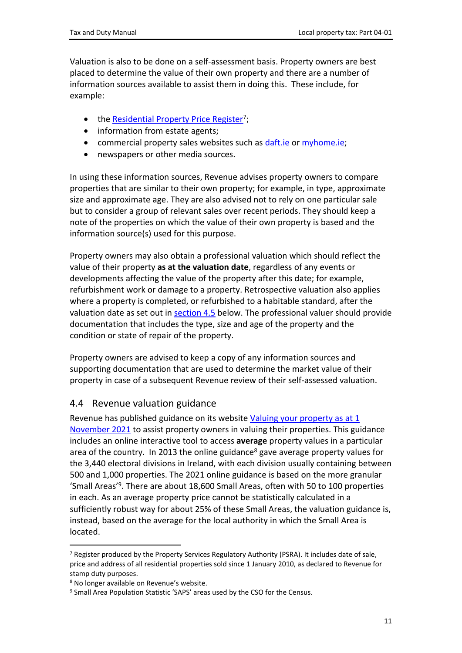Valuation is also to be done on a self-assessment basis. Property owners are best placed to determine the value of their own property and there are a number of information sources available to assist them in doing this. These include, for example:

- the **[Residential](https://www.propertypriceregister.ie/website/npsra/pprweb.nsf/PPR?OpenForm) [Property](https://www.propertypriceregister.ie/website/npsra/pprweb.nsf/PPR?OpenForm) [Price](https://www.propertypriceregister.ie/website/npsra/pprweb.nsf/PPR?OpenForm) [Register](https://www.propertypriceregister.ie/website/npsra/pprweb.nsf/PPR?OpenForm)**<sup>7</sup>;
- information from estate agents;
- commercial property sales websites such as [daft.ie](https://www.daft.ie/) or [myhome.ie](https://www.myhome.ie/);
- newspapers or other media sources.

In using these information sources, Revenue advises property owners to compare properties that are similar to their own property; for example, in type, approximate size and approximate age. They are also advised not to rely on one particular sale but to consider a group of relevant sales over recent periods. They should keep a note of the properties on which the value of their own property is based and the information source(s) used for this purpose.

Property owners may also obtain a professional valuation which should reflect the value of their property **as at the valuation date**, regardless of any events or developments affecting the value of the property after this date; for example, refurbishment work or damage to a property. Retrospective valuation also applies where a property is completed, or refurbished to a habitable standard, after the valuation date as set out in [section](#page-11-0) [4.5](#page-11-0) below. The professional valuer should provide documentation that includes the type, size and age of the property and the condition or state of repair of the property.

Property owners are advised to keep a copy of any information sources and supporting documentation that are used to determine the market value of their property in case of a subsequent Revenue review of their self-assessed valuation.

### <span id="page-10-0"></span>4.4 Revenue valuation guidance

Revenue has published guidance on its website [Valuing](https://www.revenue.ie/en/property/local-property-tax/valuing-your-property/index.aspx) [your](https://www.revenue.ie/en/property/local-property-tax/valuing-your-property/index.aspx) [property](https://www.revenue.ie/en/property/local-property-tax/valuing-your-property/index.aspx) [as](https://www.revenue.ie/en/property/local-property-tax/valuing-your-property/index.aspx) [at](https://www.revenue.ie/en/property/local-property-tax/valuing-your-property/index.aspx) [1](https://www.revenue.ie/en/property/local-property-tax/valuing-your-property/index.aspx) [November](https://www.revenue.ie/en/property/local-property-tax/valuing-your-property/index.aspx) [2021](https://www.revenue.ie/en/property/local-property-tax/valuing-your-property/index.aspx) to assist property owners in valuing their properties. This guidance includes an online interactive tool to access **average** property values in a particular area of the country. In 2013 the online guidance<sup>8</sup> gave average property values for the 3,440 electoral divisions in Ireland, with each division usually containing between 500 and 1,000 properties. The 2021 online guidance is based on the more granular 'Small Areas'<sup>9</sup>. There are about 18,600 Small Areas, often with 50 to 100 properties in each. As an average property price cannot be statistically calculated in a sufficiently robust way for about 25% of these Small Areas, the valuation guidance is, instead, based on the average for the local authority in which the Small Area is located.

<sup>7</sup> Register produced by the Property Services Regulatory Authority (PSRA). It includes date of sale, price and address of all residential properties sold since 1 January 2010, as declared to Revenue for stamp duty purposes.

<sup>8</sup> No longer available on Revenue's website.

<sup>&</sup>lt;sup>9</sup> Small Area Population Statistic 'SAPS' areas used by the CSO for the Census.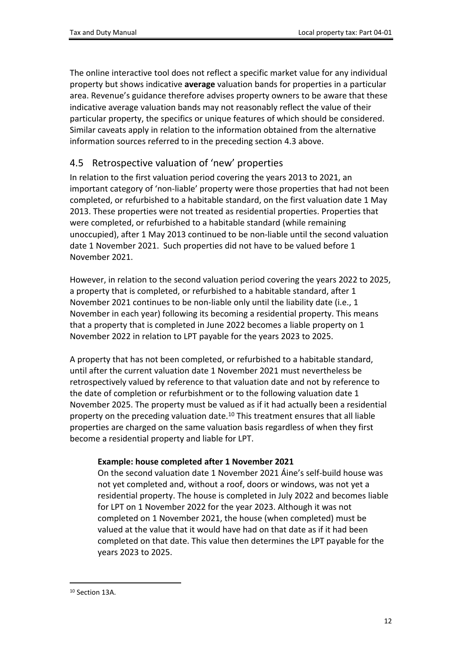The online interactive tool does not reflect a specific market value for any individual property but shows indicative **average** valuation bands for properties in a particular area. Revenue's guidance therefore advises property owners to be aware that these indicative average valuation bands may not reasonably reflect the value of their particular property, the specifics or unique features of which should be considered. Similar caveats apply in relation to the information obtained from the alternative information sources referred to in the preceding section 4.3 above.

### <span id="page-11-0"></span>4.5 Retrospective valuation of 'new' properties

In relation to the first valuation period covering the years 2013 to 2021, an important category of 'non-liable' property were those properties that had not been completed, or refurbished to a habitable standard, on the first valuation date 1 May 2013. These properties were not treated as residential properties. Properties that were completed, or refurbished to a habitable standard (while remaining unoccupied), after 1 May 2013 continued to be non-liable until the second valuation date 1 November 2021. Such properties did not have to be valued before 1 November 2021.

However, in relation to the second valuation period covering the years 2022 to 2025, a property that is completed, or refurbished to a habitable standard, after 1 November 2021 continues to be non-liable only until the liability date (i.e., 1 November in each year) following its becoming a residential property. This means that a property that is completed in June 2022 becomes a liable property on 1 November 2022 in relation to LPT payable for the years 2023 to 2025.

A property that has not been completed, or refurbished to a habitable standard, until after the current valuation date 1 November 2021 must nevertheless be retrospectively valued by reference to that valuation date and not by reference to the date of completion or refurbishment or to the following valuation date 1 November 2025. The property must be valued as if it had actually been a residential property on the preceding valuation date.<sup>10</sup> This treatment ensures that all liable properties are charged on the same valuation basis regardless of when they first become a residential property and liable for LPT.

### **Example: house completed after 1 November 2021**

On the second valuation date 1 November 2021 Áine's self-build house was not yet completed and, without a roof, doors or windows, was not yet a residential property. The house is completed in July 2022 and becomes liable for LPT on 1 November 2022 for the year 2023. Although it was not completed on 1 November 2021, the house (when completed) must be valued at the value that it would have had on that date as if it had been completed on that date. This value then determines the LPT payable for the years 2023 to 2025.

<sup>10</sup> Section 13A.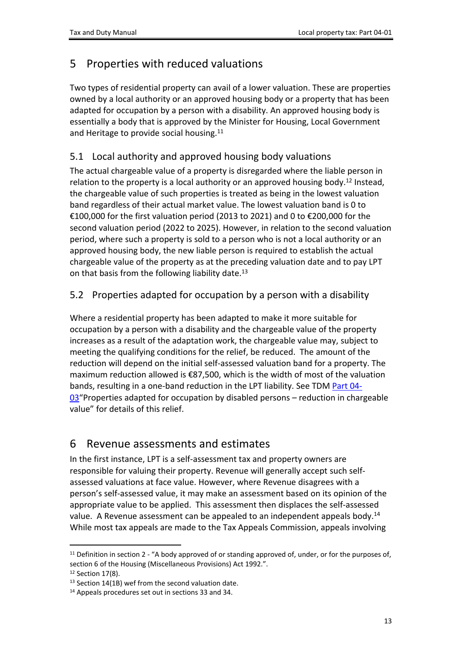## <span id="page-12-0"></span>5 Properties with reduced valuations

Two types of residential property can avail of a lower valuation. These are properties owned by a local authority or an approved housing body or a property that has been adapted for occupation by a person with a disability. An approved housing body is essentially a body that is approved by the Minister for Housing, Local Government and Heritage to provide social housing.<sup>11</sup>

## <span id="page-12-1"></span>5.1 Local authority and approved housing body valuations

The actual chargeable value of a property is disregarded where the liable person in relation to the property is a local authority or an approved housing body.<sup>12</sup> Instead, the chargeable value of such properties is treated as being in the lowest valuation band regardless of their actual market value. The lowest valuation band is 0 to €100,000 for the first valuation period (2013 to 2021) and 0 to €200,000 for the second valuation period (2022 to 2025). However, in relation to the second valuation period, where such a property is sold to a person who is not a local authority or an approved housing body, the new liable person is required to establish the actual chargeable value of the property as at the preceding valuation date and to pay LPT on that basis from the following liability date.<sup>13</sup>

## <span id="page-12-2"></span>5.2 Properties adapted for occupation by a person with a disability

Where a residential property has been adapted to make it more suitable for occupation by a person with a disability and the chargeable value of the property increases as a result of the adaptation work, the chargeable value may, subject to meeting the qualifying conditions for the relief, be reduced. The amount of the reduction will depend on the initial self-assessed valuation band for a property. The maximum reduction allowed is €87,500, which is the width of most of the valuation bands, resulting in a one-band reduction in the LPT liability. See TDM [Part](https://www.revenue.ie/en/tax-professionals/tdm/local-property-tax/part-04/04-03.pdf) [04-](https://www.revenue.ie/en/tax-professionals/tdm/local-property-tax/part-04/04-03.pdf) [03](https://www.revenue.ie/en/tax-professionals/tdm/local-property-tax/part-04/04-03.pdf)"Properties adapted for occupation by disabled persons – reduction in chargeable value" for details of this relief.

## <span id="page-12-3"></span>6 Revenue assessments and estimates

In the first instance, LPT is a self-assessment tax and property owners are responsible for valuing their property. Revenue will generally accept such selfassessed valuations at face value. However, where Revenue disagrees with a person's self-assessed value, it may make an assessment based on its opinion of the appropriate value to be applied. This assessment then displaces the self-assessed value. A Revenue assessment can be appealed to an independent appeals body.<sup>14</sup> While most tax appeals are made to the Tax Appeals Commission, appeals involving

 $11$  Definition in section 2 - "A body approved of or standing approved of, under, or for the purposes of, section 6 of the Housing (Miscellaneous Provisions) Act 1992.".

<sup>&</sup>lt;sup>12</sup> Section 17(8).

<sup>&</sup>lt;sup>13</sup> Section 14(1B) wef from the second valuation date.

<sup>14</sup> Appeals procedures set out in sections 33 and 34.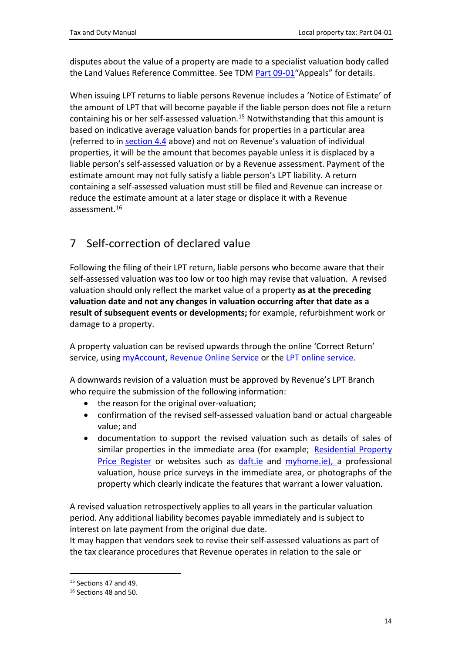disputes about the value of a property are made to a specialist valuation body called the Land Values Reference Committee. See TDM [Part](https://www.revenue.ie/en/tax-professionals/tdm/local-property-tax/part-09/09-01.pdf) [09-01](https://www.revenue.ie/en/tax-professionals/tdm/local-property-tax/part-09/09-01.pdf)"Appeals" for details.

When issuing LPT returns to liable persons Revenue includes a 'Notice of Estimate' of the amount of LPT that will become payable if the liable person does not file a return containing his or her self-assessed valuation.<sup>15</sup> Notwithstanding that this amount is based on indicative average valuation bands for properties in a particular area (referred to in [section](#page-10-0) [4.4](#page-10-0) above) and not on Revenue's valuation of individual properties, it will be the amount that becomes payable unless it is displaced by a liable person's self-assessed valuation or by a Revenue assessment. Payment of the estimate amount may not fully satisfy a liable person's LPT liability. A return containing a self-assessed valuation must still be filed and Revenue can increase or reduce the estimate amount at a later stage or displace it with a Revenue assessment $16$ 

# <span id="page-13-0"></span>7 Self-correction of declared value

Following the filing of their LPT return, liable persons who become aware that their self-assessed valuation was too low or too high may revise that valuation. A revised valuation should only reflect the market value of a property **as at the preceding valuation date and not any changes in valuation occurring after that date as a result of subsequent events or developments;** for example, refurbishment work or damage to a property.

A property valuation can be revised upwards through the online 'Correct Return' service, using [myAccount](https://www.ros.ie/myaccount-web/sign_in.html?execution=e2s1&lang=en), [Revenue](https://www.ros.ie/) [Online](https://www.ros.ie/) [Service](https://www.ros.ie/) or the [LPT](https://lpt.revenue.ie/lpt-web/views/login.html?execution=e1s1) [online](https://lpt.revenue.ie/lpt-web/views/login.html?execution=e1s1) [service.](https://lpt.revenue.ie/lpt-web/views/login.html?execution=e1s1)

A downwards revision of a valuation must be approved by Revenue's LPT Branch who require the submission of the following information:

- the reason for the original over-valuation;
- confirmation of the revised self-assessed valuation band or actual chargeable value; and
- documentation to support the revised valuation such as details of sales of similar properties in the immediate area (for example; [Residential](https://www.propertypriceregister.ie/website/npsra/pprweb.nsf/PPR?OpenForm) [Property](https://www.propertypriceregister.ie/website/npsra/pprweb.nsf/PPR?OpenForm) [Price](https://www.propertypriceregister.ie/website/npsra/pprweb.nsf/PPR?OpenForm) [Register](https://www.propertypriceregister.ie/website/npsra/pprweb.nsf/PPR?OpenForm) or websites such as [daft.ie](https://www.daft.ie/) and [myhome.ie\)](https://www.myhome.ie/), a professional valuation, house price surveys in the immediate area, or photographs of the property which clearly indicate the features that warrant a lower valuation.

A revised valuation retrospectively applies to all years in the particular valuation period. Any additional liability becomes payable immediately and is subject to interest on late payment from the original due date.

It may happen that vendors seek to revise their self-assessed valuations as part of the tax clearance procedures that Revenue operates in relation to the sale or

<sup>15</sup> Sections 47 and 49.

<sup>16</sup> Sections 48 and 50.